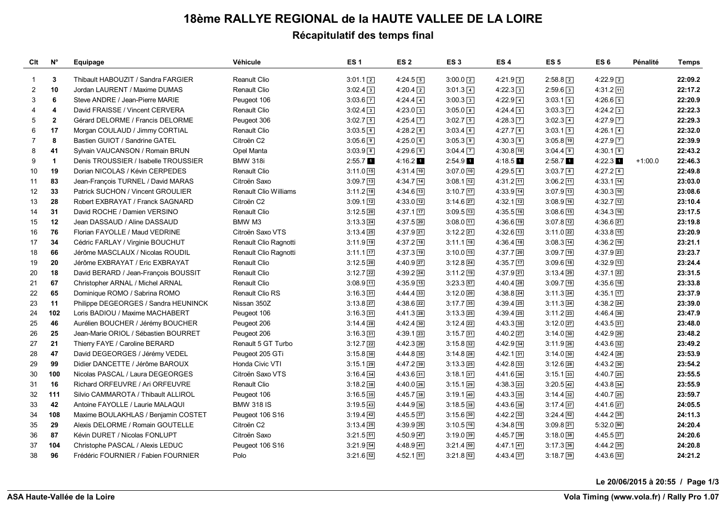# **18ème RALLYE REGIONAL de la HAUTE VALLEE DE LA LOIRE**

## **Récapitulatif des temps final**

| Clt            | $N^{\circ}$             | Equipage                             | Véhicule                     | ES <sub>1</sub>       | ES <sub>2</sub> | ES <sub>3</sub> | ES <sub>4</sub>  | ES <sub>5</sub> | ES <sub>6</sub> | Pénalité  | <b>Temps</b> |
|----------------|-------------------------|--------------------------------------|------------------------------|-----------------------|-----------------|-----------------|------------------|-----------------|-----------------|-----------|--------------|
| 1              | 3                       | Thibault HABOUZIT / Sandra FARGIER   | Reanult Clio                 | $3:01.1$ 2            | $4:24.5$ 5      | $3:00.0$ 2      | $4:21.9$ 2       | $2:58.8$ 2      | $4:22.9$ $2$    |           | 22:09.2      |
| $\overline{2}$ | 10                      | Jordan LAURENT / Maxime DUMAS        | Renault Clio                 | $3:02.4$ 3            | $4:20.4$ 2      | $3:01.3$ $4$    | $4:22.3$ 3       | $2:59.6$ 3      | $4:31.2$ 11     |           | 22:17.2      |
| 3              | 6                       | Steve ANDRE / Jean-Pierre MARIE      | Peugeot 106                  | $3:03.6$ $\boxed{7}$  | $4:24.4$ $4$    | $3:00.3$ 3      | $4:22.9$ 4       | $3:03.1$ 5      | $4:26.6$ 5      |           | 22:20.9      |
| 4              | $\overline{\mathbf{4}}$ | David FRAISSE / Vincent CERVERA      | Renault Clio                 | $3:02.4$ 3            | $4:23.0$ 3      | $3:05.0$ 8      | $4:24.4\sqrt{5}$ | $3:03.3$ 7      | $4:24.2$ 3      |           | 22:22.3      |
| 5              | $\overline{\mathbf{2}}$ | Gérard DELORME / Francis DELORME     | Peugeot 306                  | $3:02.7$ 5            | $4:25.4$ 7      | $3:02.7$ 5      | $4:28.3$ 7       | $3:02.3$ $4$    | $4:27.9$ 7      |           | 22:29.3      |
| 6              | 17                      | Morgan COULAUD / Jimmy CORTIAL       | Renault Clio                 | 3:03.56               | $4:28.2$ 8      | $3:03.4$ 6      | 4:27.76          | $3:03.1$ 5      | $4:26.1$ $4$    |           | 22:32.0      |
| 7              | 8                       | Bastien GUIOT / Sandrine GATEL       | Citroën C2                   | $3:05.6$ 9            | 4:25.06         | $3:05.3$ 9      | $4:30.3$ 9       | $3:05.8$ 10     | $4:27.9$ 7      |           | 22:39.9      |
| 8              | 41                      | Sylvain VAUCANSON / Romain BRUN      | Opel Manta                   | $3:03.9$ <sup>8</sup> | $4:29.6$ 9      | $3:04.4$ 7      | $4:30.8$ 10      | $3:04.4$ 9      | $4:30.1$ 9      |           | 22:43.2      |
| 9              | $\mathbf{1}$            | Denis TROUSSIER / Isabelle TROUSSIER | <b>BMW 318i</b>              | $2:55.7$ 1            | $4:16.2$ 1      | $2:54.9$ 1      | $4:18.5$ 1       | $2:58.7$ 1      | $4:22.3$ 1      | $+1:00.0$ | 22:46.3      |
| 10             | 19                      | Dorian NICOLAS / Kévin CERPEDES      | Renault Clio                 | $3:11.0$ $15$         | $4:31.4$ 10     | $3:07.0$ 10     | $4:29.5$ 8       | $3:03.7$ 8      | $4:27.2$ 6      |           | 22:49.8      |
| 11             | 83                      | Jean-François TURNEL / David MARAS   | Citroën Saxo                 | $3:09.7$ 13           | $4:34.7$ 14     | $3:08.1$ 12     | $4:31.2$ 11      | $3:06.2$ 11     | $4:33.1$ 14     |           | 23:03.0      |
| 12             | 33                      | Patrick SUCHON / Vincent GROULIER    | <b>Renault Clio Williams</b> | $3:11.2$ 18           | $4:34.6$ $13$   | $3:10.7$ 17     | $4:33.9$ 14      | $3:07.9$ 13     | $4:30.3$ 10     |           | 23:08.6      |
| 13             | 28                      | Robert EXBRAYAT / Franck SAGNARD     | Citroën C2                   | $3:09.1$ $12$         | $4:33.0$ 12     | $3:14.6$ 27     | $4:32.1$ 12      | $3:08.9$ 16     | $4:32.7$ 12     |           | 23:10.4      |
| 14             | 31                      | David ROCHE / Damien VERSINO         | Renault Clio                 | $3:12.5$ $20$         | $4:37.1$ 17     | $3:09.5$ [13]   | $4:35.5$ 16      | $3:08.6$ 15     | $4:34.3$ 16     |           | 23:17.5      |
| 15             | 12                      | Jean DASSAUD / Aline DASSAUD         | BMW M3                       | $3:13.3$ $24$         | $4:37.5$ 20     | $3:08.0$ [11]   | $4:36.6$ [19]    | $3:07.8$ [12]   | $4:36.6$ $21$   |           | 23:19.8      |
| 16             | 76                      | Florian FAYOLLE / Maud VEDRINE       | Citroën Saxo VTS             | $3:13.4$ 25           | $4:37.9$ 21     | $3:12.2$ $21$   | $4:32.6$ 13      | $3:11.0$ 22     | $4:33.8$ 15     |           | 23:20.9      |
| 17             | 34                      | Cédric FARLAY / Virginie BOUCHUT     | Renault Clio Ragnotti        | $3:11.9$ 19           | $4:37.2$ 18     | $3:11.1$ 18     | $4:36.4$ 18      | $3:08.3$ $14$   | $4:36.2$ 19     |           | 23:21.1      |
| 18             | 66                      | Jérôme MASCLAUX / Nicolas ROUDIL     | Renault Clio Ragnotti        | $3:11.1$ 17           | $4:37.3$ 19     | $3:10.0$ 15     | $4:37.7$ 20      | $3:09.7$ 19     | $4:37.9$ 23     |           | 23:23.7      |
| 19             | 20                      | Jérôme EXBRAYAT / Eric EXBRAYAT      | Renault Clio                 | $3:12.5$ $20$         | $4:40.9$ 27     | $3:12.8$ 24     | $4:35.7$ 17      | $3:09.6$ 18     | $4:32.9$ 13     |           | 23:24.4      |
| 20             | 18                      | David BERARD / Jean-François BOUSSIT | Renault Clio                 | $3:12.7$ $22$         | $4:39.2$ 24     | $3:11.2$ 19     | $4:37.9$ 21      | $3:13.4$ 29     | $4:37.1$ 22     |           | 23:31.5      |
| 21             | 67                      | Christopher ARNAL / Michel ARNAL     | Renault Clio                 | $3:08.9$ 11           | $4:35.9$ 15     | $3:23.3$ $57$   | $4:40.4$ 28      | $3:09.7$ 19     | $4:35.6$ 18     |           | 23:33.8      |
| 22             | 65                      | Dominique ROMO / Sabrina ROMO        | Renault Clio RS              | $3:16.3$ 31           | $4:44.4$ 33     | $3:12.0$ 20     | $4:38.8$ 24      | $3:11.3$ 24     | $4:35.1$ 17     |           | 23:37.9      |
| 23             | 11                      | Philippe DEGEORGES / Sandra HEUNINCK | Nissan 350Z                  | $3:13.8$ 27           | $4:38.6$ 22     | $3:17.7$ 35     | $4:39.4$ 25      | $3:11.3$ 24     | $4:38.2$ 24     |           | 23:39.0      |
| 24             | 102                     | Loris BADIOU / Maxime MACHABERT      | Peugeot 106                  | $3:16.3$ 31           | $4:41.3$ 28     | $3:13.3$ 25     | $4:39.4$ 25      | $3:11.2$ 23     | $4:46.4$ 39     |           | 23:47.9      |
| 25             | 46                      | Aurélien BOUCHER / Jérémy BOUCHER    | Peugeot 206                  | $3:14.4$ 28           | $4:42.4$ 30     | $3:12.4$ $22$   | $4:43.3$ 35      | $3:12.0$ $27$   | $4:43.5$ 31     |           | 23:48.0      |
| 26             | 25                      | Jean-Marie ORIOL / Sébastien BOURRET | Peugeot 206                  | $3:16.3$ 31           | $4:39.1$ 23     | $3:15.7$ 31     | $4:40.2$ 27      | $3:14.0$ 30     | $4:42.9$ 29     |           | 23:48.2      |
| 27             | 21                      | Thierry FAYE / Caroline BERARD       | Renault 5 GT Turbo           | $3:12.7$ $22$         | $4:42.3$ 29     | $3:15.8$ 32     | $4:42.9$ 34      | $3:11.9$ 26     | $4:43.6$ 32     |           | 23:49.2      |
| 28             | 47                      | David DEGEORGES / Jérémy VEDEL       | Peugeot 205 GTi              | $3:15.8$ 30           | $4:44.8$ 35     | $3:14.8$ 28     | $4:42.1$ 31      | $3:14.0$ 30     | $4:42.4$ 28     |           | 23:53.9      |
| 29             | 99                      | Didier DANCETTE / Jérôme BAROUX      | Honda Civic VTI              | $3:15.1$ 29           | $4:47.2$ 39     | $3:13.3$ 25     | $4:42.8$ 33      | $3:12.6$ 28     | $4:43.2$ 30     |           | 23:54.2      |
| 30             | 100                     | Nicolas PASCAL / Laura DEGEORGES     | Citroën Saxo VTS             | $3:16.4$ 34           | $4:43.6$ 31     | $3:18.1$ 37     | $4:41.6$ 30      | $3:15.1$ 33     | $4:40.7$ $25$   |           | 23:55.5      |
| 31             | 16                      | Richard ORFEUVRE / Ari ORFEUVRE      | Renault Clio                 | $3:18.2$ 38           | $4:40.0$ $26$   | $3:15.1$ 29     | $4:38.3$ 23      | $3:20.5$ 42     | $4:43.8$ 34     |           | 23:55.9      |
| 32             | 111                     | Silvio CAMMAROTA / Thibault ALLIROL  | Peugeot 106                  | $3:16.5$ 35           | $4:45.7$ 38     | $3:19.1$ 40     | $4:43.3$ 35      | $3:14.4$ 32     | $4:40.7$ 25     |           | 23:59.7      |
| 33             | 42                      | Antoine FAYOLLE / Laurie MALAQUI     | <b>BMW 318 IS</b>            | $3:19.5$ $43$         | $4:44.9$ 36     | $3:18.5$ 38     | $4:43.6$ 38      | $3:17.4$ 37     | $4:41.6$ $27$   |           | 24:05.5      |
| 34             | 108                     | Maxime BOULAKHLAS / Benjamin COSTET  | Peugeot 106 S16              | $3:19.4$ 42           | $4:45.5$ 37     | $3:15.6$ 30     | $4:42.2$ 32      | $3:24.4$ 52     | $4:44.2$ 35     |           | 24:11.3      |
| 35             | 29                      | Alexis DELORME / Romain GOUTELLE     | Citroën C2                   | $3:13.4$ $25$         | $4:39.9$ 25     | $3:10.5$ 16     | $4:34.8$ [15]    | $3:09.8$ 21     | $5:32.0$ 90     |           | 24:20.4      |
| 36             | 87                      | Kévin DURET / Nicolas FONLUPT        | Citroën Saxo                 | $3:21.5$ 51           | $4:50.9$ 47     | $3:19.0$ 39     | $4:45.7$ 39      | $3:18.0$ 38     | $4:45.5$ 37     |           | 24:20.6      |
| 37             | 104                     | Christophe PASCAL / Alexis LEDUC     | Peugeot 106 S16              | $3:21.9$ 54           | $4:48.9$ 41     | $3:21.4$ 50     | $4:47.1$ $41$    | $3:17.3$ 36     | $4:44.2$ 35     |           | 24:20.8      |
| 38             | 96                      | Frédéric FOURNIER / Fabien FOURNIER  | Polo                         | $3:21.6$ 52           | $4:52.1$ 51     | $3:21.8$ 52     | $4:43.4$ 37      | $3:18.7$ 39     | $4:43.6$ 32     |           | 24:21.2      |

**Le 20/06/2015 à 20:55 / Page 1/3**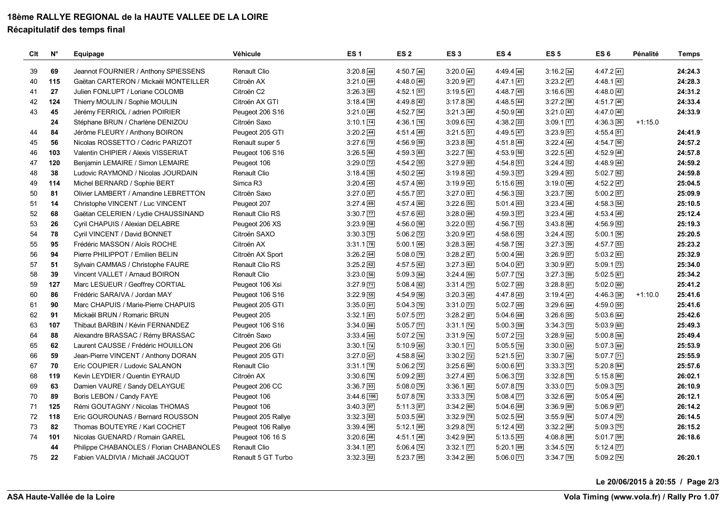## **18ème RALLYE REGIONAL de la HAUTE VALLEE DE LA LOIRE**

#### **Récapitulatif des temps final**

| Clt | $N^{\circ}$ | Equipage                                 | Véhicule           | ES <sub>1</sub>          | ES <sub>2</sub>          | ES <sub>3</sub>          | ES <sub>4</sub>          | ES <sub>5</sub>          | ES <sub>6</sub>          | Pénalité  | <b>Temps</b> |
|-----|-------------|------------------------------------------|--------------------|--------------------------|--------------------------|--------------------------|--------------------------|--------------------------|--------------------------|-----------|--------------|
| 39  | 69          | Jeannot FOURNIER / Anthony SPIESSENS     | Renault Clio       | $3:20.8$ 48              | $4:50.7$ 46              | $3:20.0$ 44              | $4:49.4$ 46              | $3:16.2$ 34              | $4:47.2$ 41              |           | 24:24.3      |
| 40  | 115         | Gaëtan CARTERON / Mickaël MONTEILLER     | Citroën AX         | $3:21.0$ 49              | $4:48.0$ 40              | $3:20.9$ 47              | $4:47.1$ 41              | $3:23.2$ 47              | $4:48.1$ 43              |           | 24:28.3      |
| 41  | 27          | Julien FONLUPT / Loriane COLOMB          | Citroën C2         | $3:26.3$ 65              | $4:52.1$ $51$            | $3:19.5$ 41              | $4:48.7$ 45              | $3:16.6$ 35              | $4:48.0$ $42$            |           | 24:31.2      |
| 42  | 124         | Thierry MOULIN / Sophie MOULIN           | Citroën AX GTI     | $3:18.4$ 39              | $4:49.8$ 42              | $3:17.8$ 36              | $4:48.5$ 44              | $3:27.2$ 58              | $4:51.7$ 46              |           | 24:33.4      |
| 43  | 45          | Jérémy FERRIOL / adrien POIRIER          | Peugeot 206 S16    | $3:21.0$ $49$            | $4:52.7$ 54              | $3:21.3$ 49              | $4:50.9$ 48              | $3:21.0$ 43              | $4:47.0$ $40$            |           | 24:33.9      |
|     | 24          | Stéphane BRUN / Charlène DENIZOU         | Citroën Saxo       | $3:10.1$ $\boxed{14}$    | $4:36.1$ 16              | $3:09.6$ [14]            | $4:38.2$ 22              | $3:09.1$ $\boxed{17}$    | $4:36.3$ $20$            | $+1:15.0$ |              |
| 44  | 84          | Jérôme FLEURY / Anthony BOIRON           | Peugeot 205 GTI    | $3:20.2$ 44              | $4:51.4$ 49              | $3:21.5$ 51              | $4:49.5$ 47              | $3:23.9$ $51$            | $4:55.4$ 51              |           | 24:41.9      |
| 45  | 56          | Nicolas ROSSETTO / Cédric PARIZOT        | Renault super 5    | $3:27.6$ $\boxed{70}$    | $4:56.9$ 59              | $3:23.8$ 58              | $4:51.8$ 49              | $3:22.4$ 44              | 4:54.750                 |           | 24:57.2      |
| 46  | 103         | Valentin CHIPIER / Alexis VISSERIAT      | Peugeot 106 S16    | $3:26.5$ 66              | $4:59.3$ 65              | 3:22.756                 | $4:53.9$ $50$            | $3:22.5$ 45              | $4:52.9$ $48$            |           | 24:57.8      |
| 47  | 120         | Benjamin LEMAIRE / Simon LEMAIRE         | Peugeot 106        | $3:29.0$ $\boxed{72}$    | $4:54.2$ 55              | $3:27.9$ 65              | $4:54.8$ $51$            | $3:24.4$ 52              | $4:48.9$ $44$            |           | 24:59.2      |
| 48  | 38          | Ludovic RAYMOND / Nicolas JOURDAIN       | Renault Clio       | $3:18.4$ 39              | $4:50.2$ 44              | $3:19.8$ 42              | $4:59.3$ 57              | $3:29.4$ 63              | $5:02.7$ 62              |           | 24:59.8      |
| 49  | 114         | Michel BERNARD / Sophie BERT             | Simca R3           | $3:20.4$ 45              | $4:57.4$ 60              | $3:19.9$ 43              | $5:15.6$ 85              | $3:19.0$ 40              | $4:52.2$ 47              |           | 25:04.5      |
| 50  | 81          | Olivier LAMBERT / Amandine LEBRETTON     | Citroën Saxo       | $3:27.0$ 67              | $4:55.7$ 57              | $3:27.0$ 61              | $4:56.3$ 52              | $3:23.7$ 50              | $5:00.2$ $57$            |           | 25:09.9      |
| 51  | 14          | Christophe VINCENT / Luc VINCENT         | Peugeot 207        | $3:27.4$ 69              | $4:57.4$ 60              | $3:22.6$ 55              | $5:01.4$ 63              | $3:23.4$ 48              | 4:58.354                 |           | 25:10.5      |
| 52  | 68          | Gaëtan CELERIEN / Lydie CHAUSSINAND      | Renault Clio RS    | $3:30.7$ $\overline{77}$ | $4:57.6$ 63              | $3:28.0$ 66              | $4:59.3$ 57              | $3:23.4$ 48              | $4:53.4$ 49              |           | 25:12.4      |
| 53  | 26          | Cyril CHAPUIS / Alexian DELABRE          | Peugeot 206 XS     | $3:23.9$ 58              | $4:56.0$ [58]            | $3:22.0$ 53              | $4:56.7$ 53              | $3:43.8$ 88              | $4:56.9$ $52$            |           | 25:19.3      |
| 54  | 78          | Cyril VINCENT / David BONNET             | Citroën SAXO       | $3:30.3$ $\overline{75}$ | $5:06.2$ $\overline{72}$ | $3:20.9$ 47              | $4:58.6$ 55              | $3:24.4$ 52              | $5:00.1$ 56              |           | 25:20.5      |
| 55  | 95          | Frédéric MASSON / Aloïs ROCHE            | Citroën AX         | $3:31.1$ $\overline{78}$ | $5:00.1$ 66              | $3:28.3$ 69              | $4:58.7$ 56              | $3:27.3$ 59              | 4:57.753                 |           | 25:23.2      |
| 56  | 94          | Pierre PHILIPPOT / Emilien BELIN         | Citroën AX Sport   | $3:26.2$ 64              | $5:08.0$ 79              | $3:28.2$ 67              | $5:00.4$ 60              | $3:26.9$ 57              | $5:03.2$ 63              |           | 25:32.9      |
| 57  | 51          | Sylvain CAMMAS / Christophe FAURE        | Renault Clio RS    | $3:25.2$ 62              | $4:57.5$ 62              | $3:27.3$ 62              | $5:04.0$ 67              | $3:30.9$ 67              | $5:09.1$ $\overline{73}$ |           | 25:34.0      |
| 58  | 39          | Vincent VALLET / Arnaud BOIRON           | Renault Clio       | $3:23.0$ 56              | $5:09.3$ 84              | $3:24.4$ 59              | $5:07.7$ 74              | $3:27.3$ 59              | $5:02.5$ 61              |           | 25:34.2      |
| 59  | 127         | Marc LESUEUR / Geoffrey CORTIAL          | Peugeot 106 Xsi    | $3:27.9$ $71$            | $5:08.4$ 82              | $3:31.4$ 75              | $5:02.7$ 65              | $3:28.8$ 61              | $5:02.0$ 60              |           | 25:41.2      |
| 60  | 86          | Frédéric SARAIVA / Jordan MAY            | Peugeot 106 S16    | $3:22.9$ 55              | $4:54.9$ 56              | $3:20.3$ 45              | $4:47.8$ 43              | $3:19.4$ 41              | $4:46.3$ 38              | $+1:10.0$ | 25:41.6      |
| 61  | 90          | Marc CHAPUIS / Marie-Pierre CHAPUIS      | Peugeot 205 GTI    | $3:35.0$ 91              | $5:04.3$ $70$            | $3:31.0$ 73              | $5:02.7$ 65              | $3:29.6$ 64              | 4:59.055                 |           | 25:41.6      |
| 62  | 91          | Mickaël BRUN / Romaric BRUN              | Peugeot 205        | $3:32.1$ 81              | $5:07.5$ $\boxed{77}$    | $3:28.2$ 67              | $5:04.6$ 68              | $3:26.6$ 55              | $5:03.6$ 64              |           | 25:42.6      |
| 63  | 107         | Thibaut BARBIN / Kévin FERNANDEZ         | Peugeot 106 S16    | $3:34.0$ 86              | $5:05.7$ $71$            | $3:31.1$ $\overline{74}$ | $5:00.3$ 59              | 3:34.3 [73]              | $5:03.9$ 65              |           | 25:49.3      |
| 64  | 88          | Alexandre BRASSAC / Rémy BRASSAC         | Citroën Saxo       | $3:33.4$ 85              | $5:07.2$ 76              | $3:31.9$ 76              | $5:07.2$ $\overline{73}$ | $3:28.9$ 62              | $5:00.8$ 58              |           | 25:49.4      |
| 65  | 62          | Laurent CAUSSE / Frédéric HOUILLON       | Peugeot 206 Gti    | $3:30.1$ $\overline{74}$ | $5:10.9$ 85              | $3:30.1$ $\boxed{71}$    | $5:05.5$ $70$            | $3:30.0$ 65              | $5:07.3$ 69              |           | 25:53.9      |
| 66  | 59          | Jean-Pierre VINCENT / Anthony DORAN      | Peugeot 205 GTI    | $3:27.0$ 67              | $4:58.8$ 64              | $3:30.2$ $\boxed{72}$    | $5:21.5$ 91              | $3:30.7$ 66              | $5:07.7$ $71$            |           | 25:55.9      |
| 67  | 70          | Eric COUPIER / Ludovic SALANON           | Renault Clio       | $3:31.1$ 78              | $5:06.2$ $\overline{72}$ | $3:25.6$ 60              | $5:00.6$ 61              | $3:33.3$ $\boxed{72}$    | $5:20.8$ 84              |           | 25:57.6      |
| 68  | 119         | Kevin LEYDIER / Quentin EYRAUD           | Citroën AX         | $3:30.6$ $76$            | $5:09.2$ 83              | $3:27.4$ 63              | $5:06.3$ $\overline{72}$ | $3:32.8$ $70$            | $5:15.8$ 80              |           | 26:02.1      |
| 69  | 63          | Damien VAURE / Sandy DELAYGUE            | Peugeot 206 CC     | $3:36.7$ 93              | $5:08.0$ $\boxed{79}$    | $3:36.1$ 82              | $5:07.8$ 75              | $3:33.0$ $\boxed{71}$    | $5:09.3$ $\overline{75}$ |           | 26:10.9      |
| 70  | 89          | Boris LEBON / Candy FAYE                 | Peugeot 106        | $3:44.6$ 106             | $5:07.8$ 78              | $3:33.3$ $\overline{79}$ | $5:08.4$ $\overline{77}$ | $3:32.6$ 69              | $5:05.4$ 66              |           | 26:12.1      |
| 71  | 125         | Rémi GOUTAGNY / Nicolas THOMAS           | Peugeot 106        | $3:40.3$ 97              | $5:11.3$ 87              | $3:34.2$ 80              | $5:04.6$ 68              | $3:36.9$ 80              | $5:06.9$ 67              |           | 26:14.2      |
| 72  | 118         | Eric GOUROUNAS / Bernard ROUSSON         | Peugeot 205 Rallye | $3:32.3$ 82              | $5:03.5$ 68              | $3:32.9$ $78$            | $5:02.5$ 64              | $3:55.9$ 94              | $5:07.4$ $\boxed{70}$    |           | 26:14.5      |
| 73  | 82          | Thomas BOUTEYRE / Karl COCHET            | Peugeot 106 Rallye | $3:39.4$ 96              | $5:12.1$ 89              | $3:29.8$ $\overline{70}$ | $5:12.4$ 82              | $3:32.2$ 68              | $5:09.3$ 75              |           | 26:15.2      |
| 74  | 101         | Nicolas GUENARD / Romain GAREL           | Peugeot 106 16 S   | $3:20.6$ 46              | $4:51.1$ 48              | $3:42.9$ 94              | $5:13.5$ 83              | $4:08.8$ 98              | $5:01.7$ 59              |           | 26:18.6      |
|     | 44          | Philippe CHABANOLES / Florian CHABANOLES | Renault Clio       | $3:34.1$ 87              | $5:06.4$ 74              | $3:32.1$ $77$            | $5:20.1$ 89              | $3:34.5$ $74$            | $5:12.4$ $\overline{77}$ |           |              |
| 75  | 22          | Fabien VALDIVIA / Michaël JACQUOT        | Renault 5 GT Turbo | $3:32.3$ 82              | $5:23.7$ 95              | $3:34.2$ 80              | $5:06.0$ $\boxed{71}$    | $3:34.7$ $\overline{78}$ | $5:09.2$ 74              |           | 26:20.1      |

**Le 20/06/2015 à 20:55 / Page 2/3**